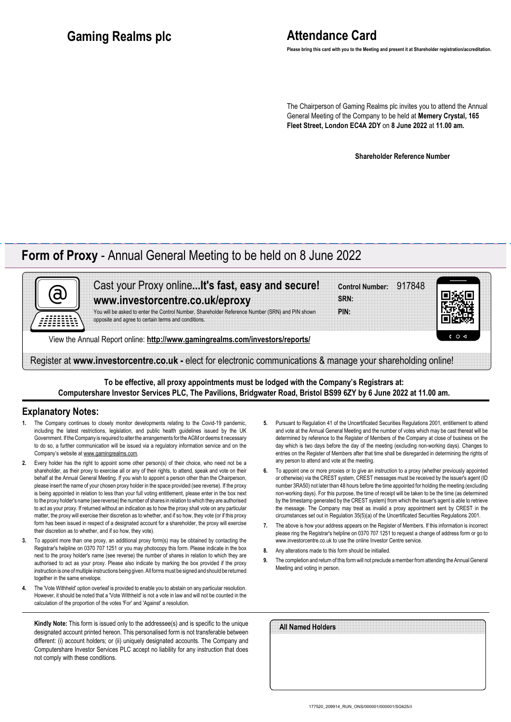# **Attendance Card**

**Please bring this card with you to the Meeting and present it at Shareholder registration/accreditation.**

The Chairperson of Gaming Realms plc invites you to attend the Annual General Meeting of the Company to be held at **Memery Crystal, 165 Fleet Street, London EC4A 2DY** on **8 June 2022** at **11.00 am.**

**Shareholder Reference Number**

## **Form of Proxy** - Annual General Meeting to be held on 8 June 2022

| Cast your Proxy online It's fast, easy and secure!                                                                                                     | Control Number: 917848 |             |
|--------------------------------------------------------------------------------------------------------------------------------------------------------|------------------------|-------------|
| www.investorcentre.co.uk/eproxy                                                                                                                        | SRN:                   |             |
| You will be asked to enter the Control Number, Shareholder Reference Number (SRN) and PIN shown<br>opposite and agree to certain terms and conditions. | PIN:                   |             |
| View the Annual Report online: http://www.gamingrealms.com/investors/reports/                                                                          |                        | $c \circ d$ |

Register at **www.investorcentre.co.uk -** elect for electronic communications & manage your shareholding online!

**To be effective, all proxy appointments must be lodged with the Company's Registrars at: Computershare Investor Services PLC, The Pavilions, Bridgwater Road, Bristol BS99 6ZY by 6 June 2022 at 11.00 am.**

#### **Explanatory Notes:**

- The Company continues to closely monitor developments relating to the Covid-19 pandemic, including the latest restrictions, legislation, and public health guidelines issued by the UK Government. If the Company is required to alter the arrangements for the AGM or deems it necessary to do so, a further communication will be issued via a regulatory information service and on the Company's website at www.gamingrealms.com.
- **2.** Every holder has the right to appoint some other person(s) of their choice, who need not be a shareholder, as their proxy to exercise all or any of their rights, to attend, speak and vote on their behalf at the Annual General Meeting. If you wish to appoint a person other than the Chairperson, please insert the name of your chosen proxy holder in the space provided (see reverse). If the proxy is being appointed in relation to less than your full voting entitlement, please enter in the box next to the proxy holder's name (see reverse) the number of shares in relation to which they are authorised to act as your proxy. If returned without an indication as to how the proxy shall vote on any particular matter, the proxy will exercise their discretion as to whether, and if so how, they vote (or if this proxy form has been issued in respect of a designated account for a shareholder, the proxy will exercise their discretion as to whether, and if so how, they vote).
- **3.** To appoint more than one proxy, an additional proxy form(s) may be obtained by contacting the Registrar's helpline on 0370 707 1251 or you may photocopy this form. Please indicate in the box next to the proxy holder's name (see reverse) the number of shares in relation to which they are authorised to act as your proxy. Please also indicate by marking the box provided if the proxy instruction is one of multiple instructions being given. All forms must be signed and should be returned together in the same envelope.
- **4.** The 'Vote Withheld' option overleaf is provided to enable you to abstain on any particular resolution. However, it should be noted that a 'Vote Withheld' is not a vote in law and will not be counted in the calculation of the proportion of the votes 'For' and 'Against' a resolution.

**Kindly Note:** This form is issued only to the addressee(s) and is specific to the unique designated account printed hereon. This personalised form is not transferable between different: (i) account holders; or (ii) uniquely designated accounts. The Company and Computershare Investor Services PLC accept no liability for any instruction that does not comply with these conditions.

- **5.** Pursuant to Regulation 41 of the Uncertificated Securities Regulations 2001, entitlement to attend and vote at the Annual General Meeting and the number of votes which may be cast thereat will be determined by reference to the Register of Members of the Company at close of business on the day which is two days before the day of the meeting (excluding non-working days). Changes to entries on the Register of Members after that time shall be disregarded in determining the rights of any person to attend and vote at the meeting.
- **6.** To appoint one or more proxies or to give an instruction to a proxy (whether previously appointed or otherwise) via the CREST system, CREST messages must be received by the issuer's agent (ID number 3RA50) not later than 48 hours before the time appointed for holding the meeting (excluding non-working days). For this purpose, the time of receipt will be taken to be the time (as determined by the timestamp generated by the CREST system) from which the issuer's agent is able to retrieve the message. The Company may treat as invalid a proxy appointment sent by CREST in the circumstances set out in Regulation 35(5)(a) of the Uncertificated Securities Regulations 2001.
- **7.** The above is how your address appears on the Register of Members. If this information is incorrect please ring the Registrar's helpline on 0370 707 1251 to request a change of address form or go to www.investorcentre.co.uk to use the online Investor Centre service.
- **8.** Any alterations made to this form should be initialled.
- **9.** The completion and return of this form will not preclude a member from attending the Annual General Meeting and voting in person.

| All Named Holders |  |  |  |
|-------------------|--|--|--|
|                   |  |  |  |
|                   |  |  |  |
|                   |  |  |  |
|                   |  |  |  |